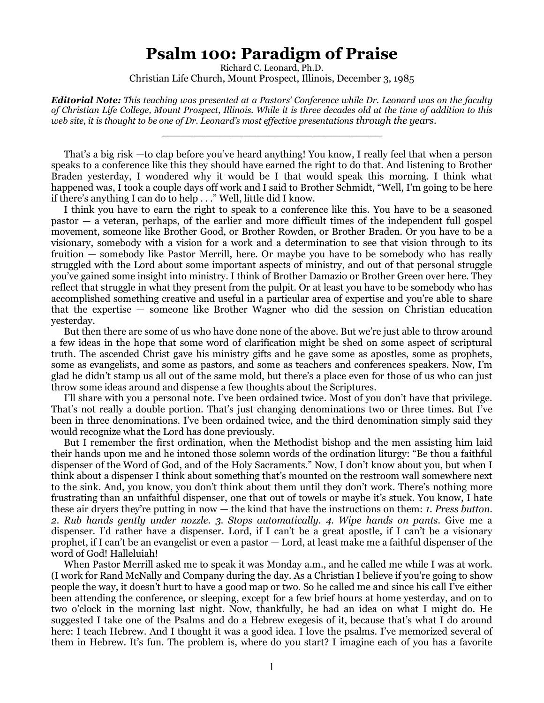## **Psalm 100: Paradigm of Praise**

Richard C. Leonard, Ph.D. Christian Life Church, Mount Prospect, Illinois, December 3, 1985

*Editorial Note: This teaching was presented at a Pastors' Conference while Dr. Leonard was on the faculty of Christian Life College, Mount Prospect, Illinois. While it is three decades old at the time of addition to this web site, it is thought to be one of Dr. Leonard's most effective presentations through the years.*

\_\_\_\_\_\_\_\_\_\_\_\_\_\_\_\_\_\_\_\_\_\_\_\_\_\_\_\_\_\_\_\_\_\_\_

That's a big risk —to clap before you've heard anything! You know, I really feel that when a person speaks to a conference like this they should have earned the right to do that. And listening to Brother Braden yesterday, I wondered why it would be I that would speak this morning. I think what happened was, I took a couple days off work and I said to Brother Schmidt, "Well, I'm going to be here if there's anything I can do to help . . ." Well, little did I know.

I think you have to earn the right to speak to a conference like this. You have to be a seasoned pastor — a veteran, perhaps, of the earlier and more difficult times of the independent full gospel movement, someone like Brother Good, or Brother Rowden, or Brother Braden. Or you have to be a visionary, somebody with a vision for a work and a determination to see that vision through to its fruition — somebody like Pastor Merrill, here. Or maybe you have to be somebody who has really struggled with the Lord about some important aspects of ministry, and out of that personal struggle you've gained some insight into ministry. I think of Brother Damazio or Brother Green over here. They reflect that struggle in what they present from the pulpit. Or at least you have to be somebody who has accomplished something creative and useful in a particular area of expertise and you're able to share that the expertise — someone like Brother Wagner who did the session on Christian education yesterday.

But then there are some of us who have done none of the above. But we're just able to throw around a few ideas in the hope that some word of clarification might be shed on some aspect of scriptural truth. The ascended Christ gave his ministry gifts and he gave some as apostles, some as prophets, some as evangelists, and some as pastors, and some as teachers and conferences speakers. Now, I'm glad he didn't stamp us all out of the same mold, but there's a place even for those of us who can just throw some ideas around and dispense a few thoughts about the Scriptures.

I'll share with you a personal note. I've been ordained twice. Most of you don't have that privilege. That's not really a double portion. That's just changing denominations two or three times. But I've been in three denominations. I've been ordained twice, and the third denomination simply said they would recognize what the Lord has done previously.

But I remember the first ordination, when the Methodist bishop and the men assisting him laid their hands upon me and he intoned those solemn words of the ordination liturgy: "Be thou a faithful dispenser of the Word of God, and of the Holy Sacraments." Now, I don't know about you, but when I think about a dispenser I think about something that's mounted on the restroom wall somewhere next to the sink. And, you know, you don't think about them until they don't work. There's nothing more frustrating than an unfaithful dispenser, one that out of towels or maybe it's stuck. You know, I hate these air dryers they're putting in now — the kind that have the instructions on them: *1. Press button. 2. Rub hands gently under nozzle. 3. Stops automatically. 4. Wipe hands on pants.* Give me a dispenser. I'd rather have a dispenser. Lord, if I can't be a great apostle, if I can't be a visionary prophet, if I can't be an evangelist or even a pastor — Lord, at least make me a faithful dispenser of the word of God! Halleluiah!

When Pastor Merrill asked me to speak it was Monday a.m., and he called me while I was at work. (I work for Rand McNally and Company during the day. As a Christian I believe if you're going to show people the way, it doesn't hurt to have a good map or two. So he called me and since his call I've either been attending the conference, or sleeping, except for a few brief hours at home yesterday, and on to two o'clock in the morning last night. Now, thankfully, he had an idea on what I might do. He suggested I take one of the Psalms and do a Hebrew exegesis of it, because that's what I do around here: I teach Hebrew. And I thought it was a good idea. I love the psalms. I've memorized several of them in Hebrew. It's fun. The problem is, where do you start? I imagine each of you has a favorite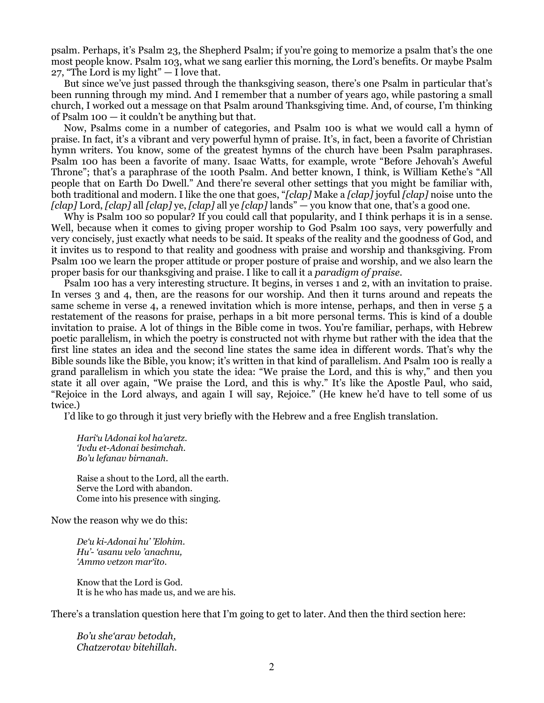psalm. Perhaps, it's Psalm 23, the Shepherd Psalm; if you're going to memorize a psalm that's the one most people know. Psalm 103, what we sang earlier this morning, the Lord's benefits. Or maybe Psalm 27, "The Lord is my light"  $- I$  love that.

But since we've just passed through the thanksgiving season, there's one Psalm in particular that's been running through my mind. And I remember that a number of years ago, while pastoring a small church, I worked out a message on that Psalm around Thanksgiving time. And, of course, I'm thinking of Psalm 100 — it couldn't be anything but that.

Now, Psalms come in a number of categories, and Psalm 100 is what we would call a hymn of praise. In fact, it's a vibrant and very powerful hymn of praise. It's, in fact, been a favorite of Christian hymn writers. You know, some of the greatest hymns of the church have been Psalm paraphrases. Psalm 100 has been a favorite of many. Isaac Watts, for example, wrote "Before Jehovah's Aweful Throne"; that's a paraphrase of the 100th Psalm. And better known, I think, is William Kethe's "All people that on Earth Do Dwell." And there're several other settings that you might be familiar with, both traditional and modern. I like the one that goes, "*[clap]* Make a *[clap]* joyful *[clap]* noise unto the *[clap]* Lord, *[clap]* all *[clap]* ye, *[clap]* all ye *[clap]* lands" — you know that one, that's a good one.

Why is Psalm 100 so popular? If you could call that popularity, and I think perhaps it is in a sense. Well, because when it comes to giving proper worship to God Psalm 100 says, very powerfully and very concisely, just exactly what needs to be said. It speaks of the reality and the goodness of God, and it invites us to respond to that reality and goodness with praise and worship and thanksgiving. From Psalm 100 we learn the proper attitude or proper posture of praise and worship, and we also learn the proper basis for our thanksgiving and praise. I like to call it a *paradigm of praise.*

Psalm 100 has a very interesting structure. It begins, in verses 1 and 2, with an invitation to praise. In verses 3 and 4, then, are the reasons for our worship. And then it turns around and repeats the same scheme in verse 4, a renewed invitation which is more intense, perhaps, and then in verse 5 a restatement of the reasons for praise, perhaps in a bit more personal terms. This is kind of a double invitation to praise. A lot of things in the Bible come in twos. You're familiar, perhaps, with Hebrew poetic parallelism, in which the poetry is constructed not with rhyme but rather with the idea that the first line states an idea and the second line states the same idea in different words. That's why the Bible sounds like the Bible, you know; it's written in that kind of parallelism. And Psalm 100 is really a grand parallelism in which you state the idea: "We praise the Lord, and this is why," and then you state it all over again, "We praise the Lord, and this is why." It's like the Apostle Paul, who said, "Rejoice in the Lord always, and again I will say, Rejoice." (He knew he'd have to tell some of us twice.)

I'd like to go through it just very briefly with the Hebrew and a free English translation.

*Hari'u lAdonai kol ha'aretz. 'Ivdu et-Adonai besimchah. Bo'u lefanav birnanah.*

Raise a shout to the Lord, all the earth. Serve the Lord with abandon. Come into his presence with singing.

Now the reason why we do this:

*De'u ki-Adonai hu' 'Elohim. Hu'- 'asanu velo 'anachnu, 'Ammo vetzon mar'ito.*

Know that the Lord is God. It is he who has made us, and we are his.

There's a translation question here that I'm going to get to later. And then the third section here:

*Bo'u she'arav betodah, Chatzerotav bitehillah.*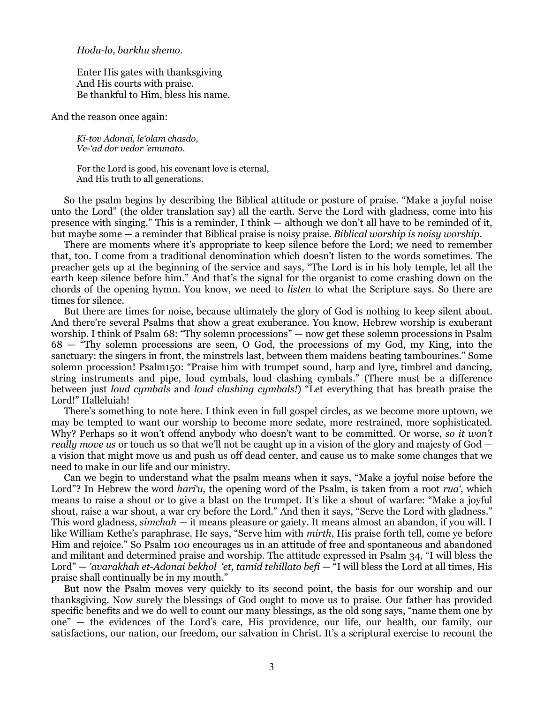## *Hodu-lo, barkhu shemo.*

Enter His gates with thanksgiving And His courts with praise. Be thankful to Him, bless his name.

And the reason once again:

*Ki-tov Adonai, le'olam chasdo, Ve-'ad dor vedor 'emunato.*

For the Lord is good, his covenant love is eternal, And His truth to all generations.

So the psalm begins by describing the Biblical attitude or posture of praise. "Make a joyful noise unto the Lord" (the older translation say) all the earth. Serve the Lord with gladness, come into his presence with singing." This is a reminder, I think — although we don't all have to be reminded of it, but maybe some — a reminder that Biblical praise is noisy praise. *Biblical worship is noisy worship.*

There are moments where it's appropriate to keep silence before the Lord; we need to remember that, too. I come from a traditional denomination which doesn't listen to the words sometimes. The preacher gets up at the beginning of the service and says, "The Lord is in his holy temple, let all the earth keep silence before him." And that's the signal for the organist to come crashing down on the chords of the opening hymn. You know, we need to *listen* to what the Scripture says. So there are times for silence.

But there are times for noise, because ultimately the glory of God is nothing to keep silent about. And there're several Psalms that show a great exuberance. You know, Hebrew worship is exuberant worship. I think of Psalm 68: "Thy solemn processions" — now get these solemn processions in Psalm 68 — "Thy solemn processions are seen, O God, the processions of my God, my King, into the sanctuary: the singers in front, the minstrels last, between them maidens beating tambourines." Some solemn procession! Psalm150: "Praise him with trumpet sound, harp and lyre, timbrel and dancing, string instruments and pipe, loud cymbals, loud clashing cymbals." (There must be a difference between just *loud cymbals* and *loud clashing cymbals!*) "Let everything that has breath praise the Lord!" Halleluiah!

There's something to note here. I think even in full gospel circles, as we become more uptown, we may be tempted to want our worship to become more sedate, more restrained, more sophisticated. Why? Perhaps so it won't offend anybody who doesn't want to be committed. Or worse, *so it won't really move us* or touch us so that we'll not be caught up in a vision of the glory and majesty of God a vision that might move us and push us off dead center, and cause us to make some changes that we need to make in our life and our ministry.

Can we begin to understand what the psalm means when it says, "Make a joyful noise before the Lord"? In Hebrew the word *hari'u*, the opening word of the Psalm, is taken from a root *rua'*, which means to raise a shout or to give a blast on the trumpet. It's like a shout of warfare: "Make a joyful shout, raise a war shout, a war cry before the Lord." And then it says, "Serve the Lord with gladness." This word gladness, *simchah* — it means pleasure or gaiety. It means almost an abandon, if you will. I like William Kethe's paraphrase. He says, "Serve him with *mirth*, His praise forth tell, come ye before Him and rejoice." So Psalm 100 encourages us in an attitude of free and spontaneous and abandoned and militant and determined praise and worship. The attitude expressed in Psalm 34, "I will bless the Lord" — *'avarakhah et-Adonai bekhol 'et, tamid tehillato befi* — "I will bless the Lord at all times, His praise shall continually be in my mouth."

But now the Psalm moves very quickly to its second point, the basis for our worship and our thanksgiving. Now surely the blessings of God ought to move us to praise. Our father has provided specific benefits and we do well to count our many blessings, as the old song says, "name them one by one" — the evidences of the Lord's care, His providence, our life, our health, our family, our satisfactions, our nation, our freedom, our salvation in Christ. It's a scriptural exercise to recount the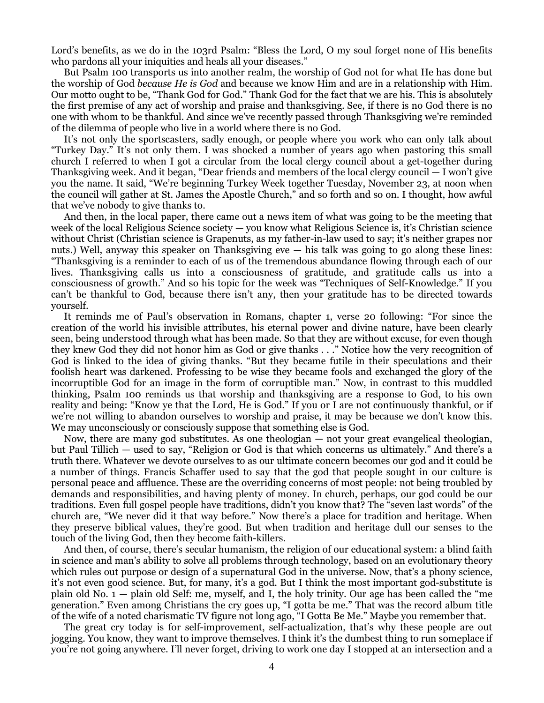Lord's benefits, as we do in the 103rd Psalm: "Bless the Lord, O my soul forget none of His benefits who pardons all your iniquities and heals all your diseases."

But Psalm 100 transports us into another realm, the worship of God not for what He has done but the worship of God *because He is God* and because we know Him and are in a relationship with Him. Our motto ought to be, "Thank God for God." Thank God for the fact that we are his. This is absolutely the first premise of any act of worship and praise and thanksgiving. See, if there is no God there is no one with whom to be thankful. And since we've recently passed through Thanksgiving we're reminded of the dilemma of people who live in a world where there is no God.

It's not only the sportscasters, sadly enough, or people where you work who can only talk about "Turkey Day." It's not only them. I was shocked a number of years ago when pastoring this small church I referred to when I got a circular from the local clergy council about a get-together during Thanksgiving week. And it began, "Dear friends and members of the local clergy council — I won't give you the name. It said, "We're beginning Turkey Week together Tuesday, November 23, at noon when the council will gather at St. James the Apostle Church," and so forth and so on. I thought, how awful that we've nobody to give thanks to.

And then, in the local paper, there came out a news item of what was going to be the meeting that week of the local Religious Science society — you know what Religious Science is, it's Christian science without Christ (Christian science is Grapenuts, as my father-in-law used to say; it's neither grapes nor nuts.) Well, anyway this speaker on Thanksgiving  $e$ ve  $-$  his talk was going to go along these lines: "Thanksgiving is a reminder to each of us of the tremendous abundance flowing through each of our lives. Thanksgiving calls us into a consciousness of gratitude, and gratitude calls us into a consciousness of growth." And so his topic for the week was "Techniques of Self-Knowledge." If you can't be thankful to God, because there isn't any, then your gratitude has to be directed towards yourself.

It reminds me of Paul's observation in Romans, chapter 1, verse 20 following: "For since the creation of the world his invisible attributes, his eternal power and divine nature, have been clearly seen, being understood through what has been made. So that they are without excuse, for even though they knew God they did not honor him as God or give thanks . . ." Notice how the very recognition of God is linked to the idea of giving thanks. "But they became futile in their speculations and their foolish heart was darkened. Professing to be wise they became fools and exchanged the glory of the incorruptible God for an image in the form of corruptible man." Now, in contrast to this muddled thinking, Psalm 100 reminds us that worship and thanksgiving are a response to God, to his own reality and being: "Know ye that the Lord, He is God." If you or I are not continuously thankful, or if we're not willing to abandon ourselves to worship and praise, it may be because we don't know this. We may unconsciously or consciously suppose that something else is God.

Now, there are many god substitutes. As one theologian — not your great evangelical theologian, but Paul Tillich — used to say, "Religion or God is that which concerns us ultimately." And there's a truth there. Whatever we devote ourselves to as our ultimate concern becomes our god and it could be a number of things. Francis Schaffer used to say that the god that people sought in our culture is personal peace and affluence. These are the overriding concerns of most people: not being troubled by demands and responsibilities, and having plenty of money. In church, perhaps, our god could be our traditions. Even full gospel people have traditions, didn't you know that? The "seven last words" of the church are, "We never did it that way before." Now there's a place for tradition and heritage. When they preserve biblical values, they're good. But when tradition and heritage dull our senses to the touch of the living God, then they become faith-killers.

And then, of course, there's secular humanism, the religion of our educational system: a blind faith in science and man's ability to solve all problems through technology, based on an evolutionary theory which rules out purpose or design of a supernatural God in the universe. Now, that's a phony science, it's not even good science. But, for many, it's a god. But I think the most important god-substitute is plain old No. 1 — plain old Self: me, myself, and I, the holy trinity. Our age has been called the "me generation." Even among Christians the cry goes up, "I gotta be me." That was the record album title of the wife of a noted charismatic TV figure not long ago, "I Gotta Be Me." Maybe you remember that.

The great cry today is for self-improvement, self-actualization, that's why these people are out jogging. You know, they want to improve themselves. I think it's the dumbest thing to run someplace if you're not going anywhere. I'll never forget, driving to work one day I stopped at an intersection and a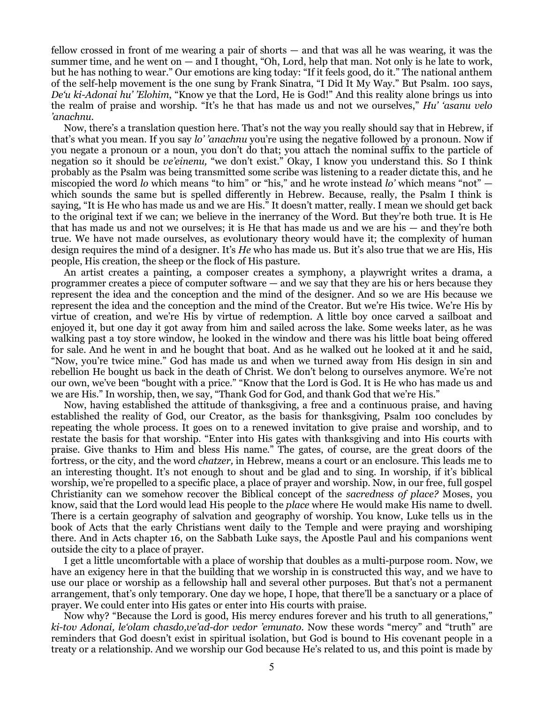fellow crossed in front of me wearing a pair of shorts — and that was all he was wearing, it was the summer time, and he went on  $-$  and I thought, "Oh, Lord, help that man. Not only is he late to work, but he has nothing to wear." Our emotions are king today: "If it feels good, do it." The national anthem of the self-help movement is the one sung by Frank Sinatra, "I Did It My Way." But Psalm. 100 says, *De'u ki-Adonai hu' 'Elohim*, "Know ye that the Lord, He is God!" And this reality alone brings us into the realm of praise and worship. "It's he that has made us and not we ourselves," *Hu' 'asanu velo 'anachnu.*

Now, there's a translation question here. That's not the way you really should say that in Hebrew, if that's what you mean. If you say *lo' 'anachnu* you're using the negative followed by a pronoun. Now if you negate a pronoun or a noun, you don't do that; you attach the nominal suffix to the particle of negation so it should be *ve'einenu,* "we don't exist." Okay, I know you understand this. So I think probably as the Psalm was being transmitted some scribe was listening to a reader dictate this, and he miscopied the word *lo* which means "to him" or "his," and he wrote instead *lo'* which means "not" which sounds the same but is spelled differently in Hebrew. Because, really, the Psalm I think is saying, "It is He who has made us and we are His." It doesn't matter, really. I mean we should get back to the original text if we can; we believe in the inerrancy of the Word. But they're both true. It is He that has made us and not we ourselves; it is He that has made us and we are his — and they're both true. We have not made ourselves, as evolutionary theory would have it; the complexity of human design requires the mind of a designer. It's *He* who has made us. But it's also true that we are His, His people, His creation, the sheep or the flock of His pasture.

An artist creates a painting, a composer creates a symphony, a playwright writes a drama, a programmer creates a piece of computer software — and we say that they are his or hers because they represent the idea and the conception and the mind of the designer. And so we are His because we represent the idea and the conception and the mind of the Creator. But we're His twice. We're His by virtue of creation, and we're His by virtue of redemption. A little boy once carved a sailboat and enjoyed it, but one day it got away from him and sailed across the lake. Some weeks later, as he was walking past a toy store window, he looked in the window and there was his little boat being offered for sale. And he went in and he bought that boat. And as he walked out he looked at it and he said, "Now, you're twice mine." God has made us and when we turned away from His design in sin and rebellion He bought us back in the death of Christ. We don't belong to ourselves anymore. We're not our own, we've been "bought with a price." "Know that the Lord is God. It is He who has made us and we are His." In worship, then, we say, "Thank God for God, and thank God that we're His."

Now, having established the attitude of thanksgiving, a free and a continuous praise, and having established the reality of God, our Creator, as the basis for thanksgiving, Psalm 100 concludes by repeating the whole process. It goes on to a renewed invitation to give praise and worship, and to restate the basis for that worship. "Enter into His gates with thanksgiving and into His courts with praise. Give thanks to Him and bless His name." The gates, of course, are the great doors of the fortress, or the city, and the word *chatzer,* in Hebrew, means a court or an enclosure. This leads me to an interesting thought. It's not enough to shout and be glad and to sing. In worship, if it's biblical worship, we're propelled to a specific place, a place of prayer and worship. Now, in our free, full gospel Christianity can we somehow recover the Biblical concept of the *sacredness of place?* Moses, you know, said that the Lord would lead His people to the *place* where He would make His name to dwell. There is a certain geography of salvation and geography of worship. You know, Luke tells us in the book of Acts that the early Christians went daily to the Temple and were praying and worshiping there. And in Acts chapter 16, on the Sabbath Luke says, the Apostle Paul and his companions went outside the city to a place of prayer.

I get a little uncomfortable with a place of worship that doubles as a multi-purpose room. Now, we have an exigency here in that the building that we worship in is constructed this way, and we have to use our place or worship as a fellowship hall and several other purposes. But that's not a permanent arrangement, that's only temporary. One day we hope, I hope, that there'll be a sanctuary or a place of prayer. We could enter into His gates or enter into His courts with praise.

Now why? "Because the Lord is good, His mercy endures forever and his truth to all generations," *ki-tov Adonai, le'olam chasdo,ve'ad-dor vedor 'emunato.* Now these words "mercy" and "truth" are reminders that God doesn't exist in spiritual isolation, but God is bound to His covenant people in a treaty or a relationship. And we worship our God because He's related to us, and this point is made by